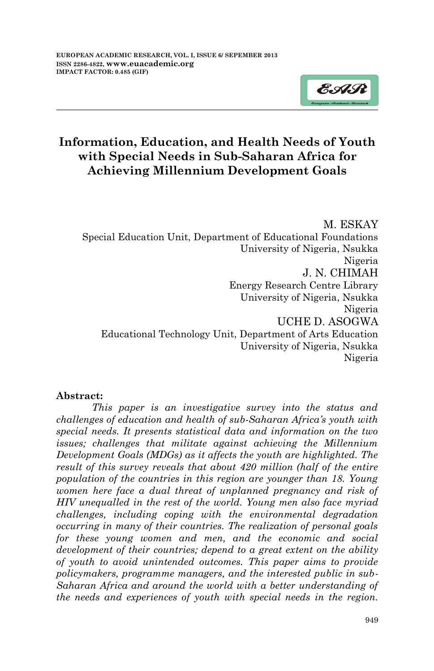

# **Information, Education, and Health Needs of Youth with Special Needs in Sub-Saharan Africa for Achieving Millennium Development Goals**

M. ESKAY Special Education Unit, Department of Educational Foundations University of Nigeria, Nsukka Nigeria J. N. CHIMAH Energy Research Centre Library University of Nigeria, Nsukka Nigeria UCHE D. ASOGWA Educational Technology Unit, Department of Arts Education University of Nigeria, Nsukka Nigeria

### **Abstract:**

*This paper is an investigative survey into the status and challenges of education and health of sub-Saharan Africa's youth with special needs. It presents statistical data and information on the two issues; challenges that militate against achieving the Millennium Development Goals (MDGs) as it affects the youth are highlighted. The result of this survey reveals that about 420 million (half of the entire population of the countries in this region are younger than 18. Young women here face a dual threat of unplanned pregnancy and risk of HIV unequalled in the rest of the world. Young men also face myriad challenges, including coping with the environmental degradation occurring in many of their countries. The realization of personal goals for these young women and men, and the economic and social development of their countries; depend to a great extent on the ability of youth to avoid unintended outcomes. This paper aims to provide policymakers, programme managers, and the interested public in sub-Saharan Africa and around the world with a better understanding of the needs and experiences of youth with special needs in the region.*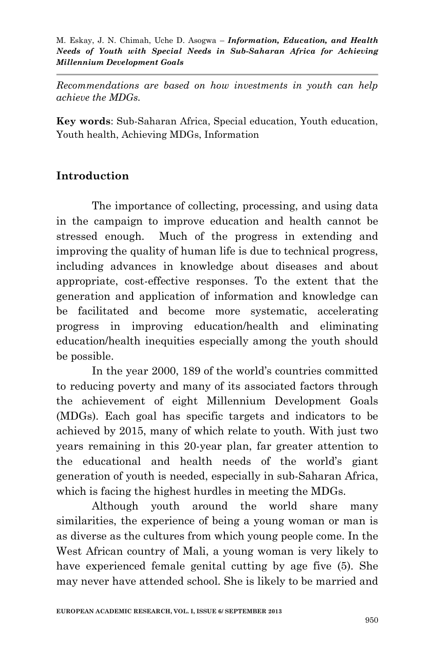*Recommendations are based on how investments in youth can help achieve the MDGs.* 

**Key words**: Sub-Saharan Africa, Special education, Youth education, Youth health, Achieving MDGs, Information

# **Introduction**

The importance of collecting, processing, and using data in the campaign to improve education and health cannot be stressed enough. Much of the progress in extending and improving the quality of human life is due to technical progress, including advances in knowledge about diseases and about appropriate, cost-effective responses. To the extent that the generation and application of information and knowledge can be facilitated and become more systematic, accelerating progress in improving education/health and eliminating education/health inequities especially among the youth should be possible.

In the year 2000, 189 of the world's countries committed to reducing poverty and many of its associated factors through the achievement of eight Millennium Development Goals (MDGs). Each goal has specific targets and indicators to be achieved by 2015, many of which relate to youth. With just two years remaining in this 20-year plan, far greater attention to the educational and health needs of the world's giant generation of youth is needed, especially in sub-Saharan Africa, which is facing the highest hurdles in meeting the MDGs.

Although youth around the world share many similarities, the experience of being a young woman or man is as diverse as the cultures from which young people come. In the West African country of Mali, a young woman is very likely to have experienced female genital cutting by age five (5). She may never have attended school. She is likely to be married and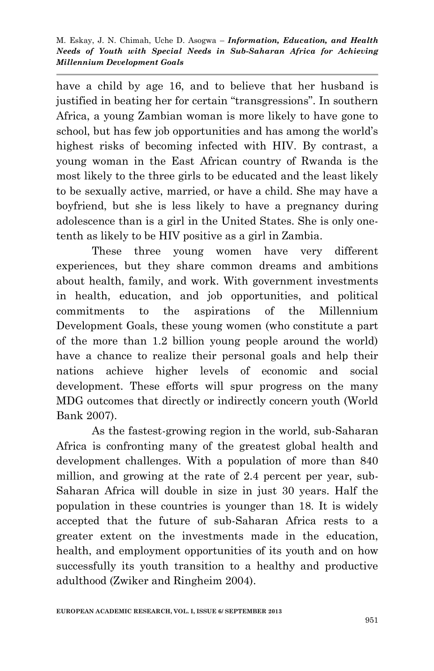have a child by age 16, and to believe that her husband is justified in beating her for certain "transgressions". In southern Africa, a young Zambian woman is more likely to have gone to school, but has few job opportunities and has among the world's highest risks of becoming infected with HIV. By contrast, a young woman in the East African country of Rwanda is the most likely to the three girls to be educated and the least likely to be sexually active, married, or have a child. She may have a boyfriend, but she is less likely to have a pregnancy during adolescence than is a girl in the United States. She is only onetenth as likely to be HIV positive as a girl in Zambia.

These three young women have very different experiences, but they share common dreams and ambitions about health, family, and work. With government investments in health, education, and job opportunities, and political commitments to the aspirations of the Millennium Development Goals, these young women (who constitute a part of the more than 1.2 billion young people around the world) have a chance to realize their personal goals and help their nations achieve higher levels of economic and social development. These efforts will spur progress on the many MDG outcomes that directly or indirectly concern youth (World Bank 2007).

As the fastest-growing region in the world, sub-Saharan Africa is confronting many of the greatest global health and development challenges. With a population of more than 840 million, and growing at the rate of 2.4 percent per year, sub-Saharan Africa will double in size in just 30 years. Half the population in these countries is younger than 18. It is widely accepted that the future of sub-Saharan Africa rests to a greater extent on the investments made in the education, health, and employment opportunities of its youth and on how successfully its youth transition to a healthy and productive adulthood (Zwiker and Ringheim 2004).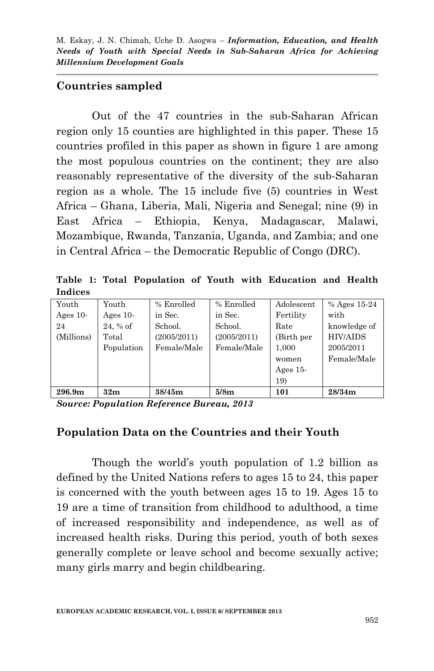### **Countries sampled**

Out of the 47 countries in the sub-Saharan African region only 15 counties are highlighted in this paper. These 15 countries profiled in this paper as shown in figure 1 are among the most populous countries on the continent; they are also reasonably representative of the diversity of the sub-Saharan region as a whole. The 15 include five (5) countries in West Africa – Ghana, Liberia, Mali, Nigeria and Senegal; nine (9) in East Africa – Ethiopia, Kenya, Madagascar, Malawi, Mozambique, Rwanda, Tanzania, Uganda, and Zambia; and one in Central Africa – the Democratic Republic of Congo (DRC).

**Table 1: Total Population of Youth with Education and Health Indices**

| Youth              | Youth       | % Enrolled  | % Enrolled  | Adolescent  | % Ages $15-24$  |
|--------------------|-------------|-------------|-------------|-------------|-----------------|
| Ages $10$ -        | Ages $10$ - | in Sec.     | in Sec.     | Fertility   | with            |
| 24                 | $24, %$ of  | School.     | School.     | Rate        | knowledge of    |
| (Millions)         | Total       | (2005/2011) | (2005/2011) | (Birth per  | <b>HIV/AIDS</b> |
|                    | Population  | Female/Male | Female/Male | 1,000       | 2005/2011       |
|                    |             |             |             | women       | Female/Male     |
|                    |             |             |             | Ages $15$ - |                 |
|                    |             |             |             | 19)         |                 |
| 296.9 <sub>m</sub> | 32m         | 38/45m      | 5/8m        | 101         | 28/34m          |

*Source: Population Reference Bureau, 2013*

## **Population Data on the Countries and their Youth**

Though the world's youth population of 1.2 billion as defined by the United Nations refers to ages 15 to 24, this paper is concerned with the youth between ages 15 to 19. Ages 15 to 19 are a time of transition from childhood to adulthood, a time of increased responsibility and independence, as well as of increased health risks. During this period, youth of both sexes generally complete or leave school and become sexually active; many girls marry and begin childbearing.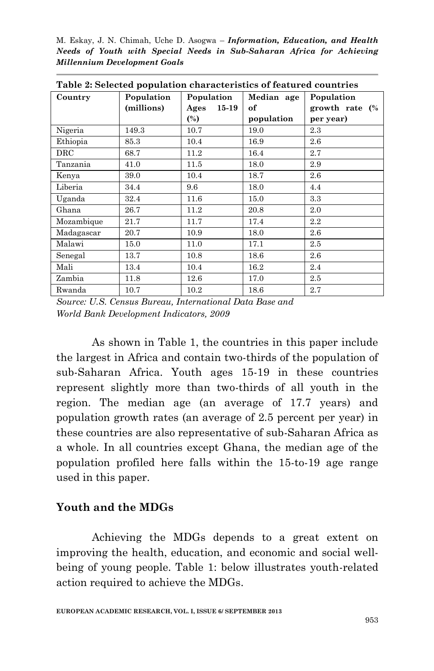M. Eskay, J. N. Chimah, Uche D. Asogwa – *Information, Education, and Health Needs of Youth with Special Needs in Sub-Saharan Africa for Achieving Millennium Development Goals*

| Table 2: Selected population characteristics of featured countries |                          |                   |            |                           |  |  |  |
|--------------------------------------------------------------------|--------------------------|-------------------|------------|---------------------------|--|--|--|
| Country                                                            | Population<br>Population |                   | Median age | Population                |  |  |  |
|                                                                    | (millions)               | $15 - 19$<br>Ages | of         | growth rate $\frac{6}{6}$ |  |  |  |
|                                                                    |                          | $\binom{0}{0}$    | population | per year)                 |  |  |  |
| Nigeria                                                            | 149.3                    | 10.7              | 19.0       | 2.3                       |  |  |  |
| Ethiopia                                                           | 85.3                     | 10.4              | 16.9       | 2.6                       |  |  |  |
| $_{\mathrm{DRC}}$                                                  | 68.7                     | 11.2              | 16.4       | 2.7                       |  |  |  |
| Tanzania                                                           | 41.0                     | 11.5              | 18.0       | 2.9                       |  |  |  |
| Kenya                                                              | 39.0                     | 10.4              | 18.7       | $2.6\,$                   |  |  |  |
| Liberia                                                            | 34.4                     | 9.6               | 18.0       | 4.4                       |  |  |  |
| Uganda                                                             | 32.4                     | 11.6              | 15.0       | 3.3                       |  |  |  |
| Ghana                                                              | 26.7                     | 11.2              | 20.8       | 2.0                       |  |  |  |
| Mozambique                                                         | 21.7                     | 11.7              | 17.4       | 2.2                       |  |  |  |
| Madagascar                                                         | 20.7                     | 10.9              | 18.0       | $2.6\,$                   |  |  |  |
| Malawi                                                             | 15.0                     | 11.0              | 17.1       | 2.5                       |  |  |  |
| Senegal                                                            | 13.7                     | 10.8              | 18.6       | 2.6                       |  |  |  |
| Mali                                                               | 13.4                     | 10.4              | 16.2       | 2.4                       |  |  |  |
| Zambia                                                             | 11.8                     | 12.6              | 17.0       | 2.5                       |  |  |  |
| Rwanda                                                             | 10.7                     | 10.2              | 18.6       | 2.7                       |  |  |  |

**Table 2: Selected population characteristics of featured countries**

*Source: U.S. Census Bureau, International Data Base and World Bank Development Indicators, 2009*

As shown in Table 1, the countries in this paper include the largest in Africa and contain two-thirds of the population of sub-Saharan Africa. Youth ages 15-19 in these countries represent slightly more than two-thirds of all youth in the region. The median age (an average of 17.7 years) and population growth rates (an average of 2.5 percent per year) in these countries are also representative of sub-Saharan Africa as a whole. In all countries except Ghana, the median age of the population profiled here falls within the 15-to-19 age range used in this paper.

### **Youth and the MDGs**

Achieving the MDGs depends to a great extent on improving the health, education, and economic and social wellbeing of young people. Table 1: below illustrates youth-related action required to achieve the MDGs.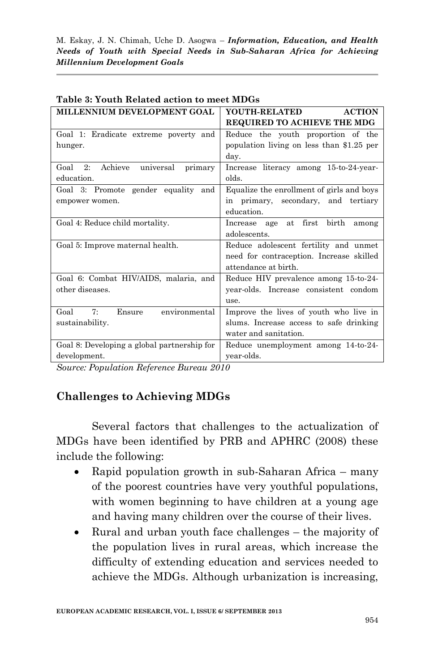| MILLENNIUM DEVELOPMENT GOAL                   | YOUTH-RELATED<br><b>ACTION</b>             |  |  |
|-----------------------------------------------|--------------------------------------------|--|--|
|                                               | REQUIRED TO ACHIEVE THE MDG                |  |  |
| Goal 1: Eradicate extreme poverty and         | Reduce the youth proportion of the         |  |  |
| hunger.                                       | population living on less than \$1.25 per  |  |  |
|                                               | day.                                       |  |  |
| Achieve<br>universal<br>Goal<br>2:<br>primary | Increase literacy among 15-to-24-year-     |  |  |
| education.                                    | ablo                                       |  |  |
| Goal 3: Promote gender equality and           | Equalize the enrollment of girls and boys  |  |  |
| empower women.                                | in primary, secondary, and tertiary        |  |  |
|                                               | education.                                 |  |  |
| Goal 4: Reduce child mortality.               | at first<br>birth<br>Increase age<br>among |  |  |
|                                               | adolescents.                               |  |  |
| Goal 5: Improve maternal health.              | Reduce adolescent fertility and unmet      |  |  |
|                                               | need for contraception. Increase skilled   |  |  |
|                                               | attendance at birth.                       |  |  |
| Goal 6: Combat HIV/AIDS, malaria, and         | Reduce HIV prevalence among 15-to-24-      |  |  |
| other diseases.                               | year-olds. Increase consistent condom      |  |  |
|                                               | use.                                       |  |  |
| environmental<br>$7\cdot$<br>Goal<br>Ensure   | Improve the lives of youth who live in     |  |  |
| sustainability.                               | slums. Increase access to safe drinking    |  |  |
|                                               | water and sanitation.                      |  |  |
| Goal 8: Developing a global partnership for   | Reduce unemployment among 14-to-24-        |  |  |
| development.                                  | year-olds.                                 |  |  |

### **Table 3: Youth Related action to meet MDGs**

*Source: Population Reference Bureau 2010*

## **Challenges to Achieving MDGs**

Several factors that challenges to the actualization of MDGs have been identified by PRB and APHRC (2008) these include the following:

- Rapid population growth in sub-Saharan Africa many of the poorest countries have very youthful populations, with women beginning to have children at a young age and having many children over the course of their lives.
- Rural and urban youth face challenges the majority of the population lives in rural areas, which increase the difficulty of extending education and services needed to achieve the MDGs. Although urbanization is increasing,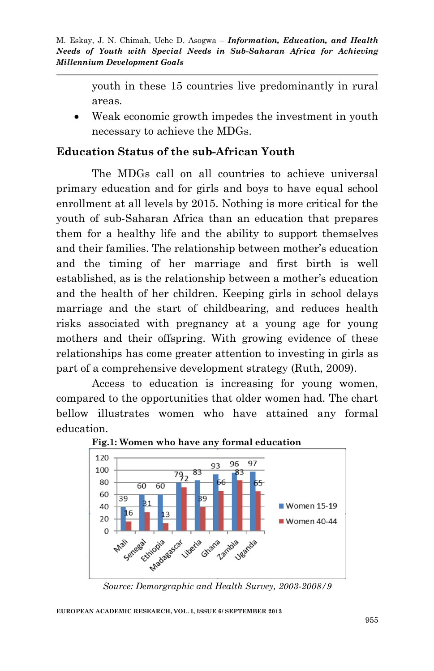youth in these 15 countries live predominantly in rural areas.

 Weak economic growth impedes the investment in youth necessary to achieve the MDGs.

## **Education Status of the sub-African Youth**

The MDGs call on all countries to achieve universal primary education and for girls and boys to have equal school enrollment at all levels by 2015. Nothing is more critical for the youth of sub-Saharan Africa than an education that prepares them for a healthy life and the ability to support themselves and their families. The relationship between mother's education and the timing of her marriage and first birth is well established, as is the relationship between a mother's education and the health of her children. Keeping girls in school delays marriage and the start of childbearing, and reduces health risks associated with pregnancy at a young age for young mothers and their offspring. With growing evidence of these relationships has come greater attention to investing in girls as part of a comprehensive development strategy (Ruth, 2009).

Access to education is increasing for young women, compared to the opportunities that older women had. The chart bellow illustrates women who have attained any formal education.



**Fig.1: Women who have any formal education**

#### **EUROPEAN ACADEMIC RESEARCH, VOL. I, ISSUE 6/ SEPTEMBER 2013**

*Source: Demorgraphic and Health Survey, 2003-2008/9*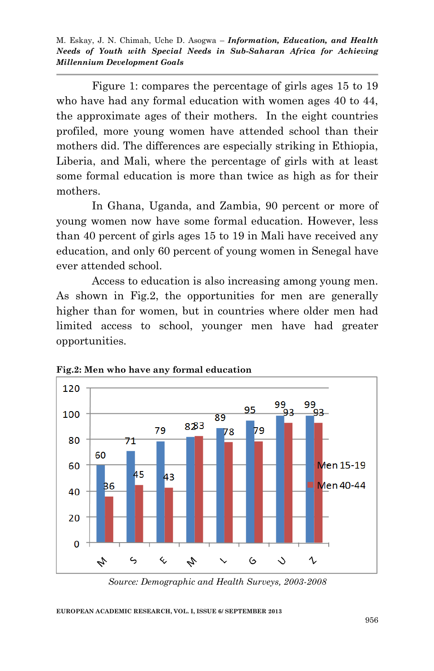Figure 1: compares the percentage of girls ages 15 to 19 who have had any formal education with women ages 40 to 44, the approximate ages of their mothers. In the eight countries profiled, more young women have attended school than their mothers did. The differences are especially striking in Ethiopia, Liberia, and Mali, where the percentage of girls with at least some formal education is more than twice as high as for their mothers.

In Ghana, Uganda, and Zambia, 90 percent or more of young women now have some formal education. However, less than 40 percent of girls ages 15 to 19 in Mali have received any education, and only 60 percent of young women in Senegal have ever attended school.

Access to education is also increasing among young men. As shown in Fig.2, the opportunities for men are generally higher than for women, but in countries where older men had limited access to school, younger men have had greater opportunities.



**Fig.2: Men who have any formal education**

#### **EUROPEAN ACADEMIC RESEARCH, VOL. I, ISSUE 6/ SEPTEMBER 2013**

*Source: Demographic and Health Surveys, 2003-2008*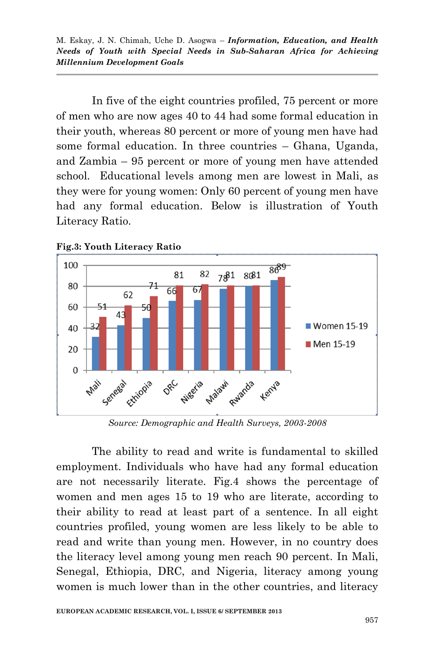In five of the eight countries profiled, 75 percent or more of men who are now ages 40 to 44 had some formal education in their youth, whereas 80 percent or more of young men have had some formal education. In three countries – Ghana, Uganda, and Zambia – 95 percent or more of young men have attended school. Educational levels among men are lowest in Mali, as they were for young women: Only 60 percent of young men have had any formal education. Below is illustration of Youth Literacy Ratio.



**Fig.3: Youth Literacy Ratio**

*Source: Demographic and Health Surveys, 2003-2008*

The ability to read and write is fundamental to skilled employment. Individuals who have had any formal education are not necessarily literate. Fig.4 shows the percentage of women and men ages 15 to 19 who are literate, according to their ability to read at least part of a sentence. In all eight countries profiled, young women are less likely to be able to read and write than young men. However, in no country does the literacy level among young men reach 90 percent. In Mali, Senegal, Ethiopia, DRC, and Nigeria, literacy among young women is much lower than in the other countries, and literacy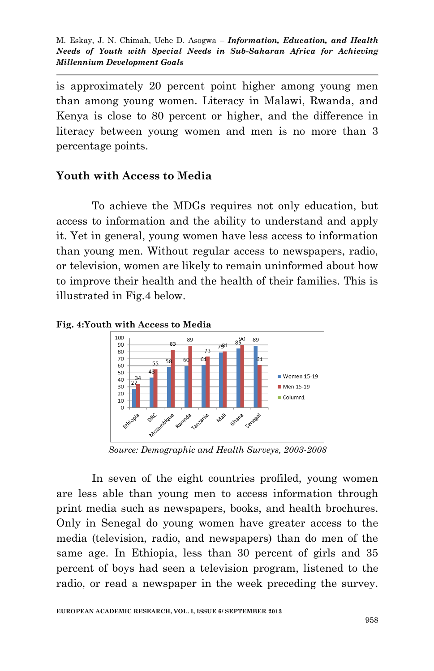is approximately 20 percent point higher among young men than among young women. Literacy in Malawi, Rwanda, and Kenya is close to 80 percent or higher, and the difference in literacy between young women and men is no more than 3 percentage points.

### **Youth with Access to Media**

To achieve the MDGs requires not only education, but access to information and the ability to understand and apply it. Yet in general, young women have less access to information than young men. Without regular access to newspapers, radio, or television, women are likely to remain uninformed about how to improve their health and the health of their families. This is illustrated in Fig.4 below.

**Fig. 4:Youth with Access to Media**



*Source: Demographic and Health Surveys, 2003-2008*

In seven of the eight countries profiled, young women are less able than young men to access information through print media such as newspapers, books, and health brochures. Only in Senegal do young women have greater access to the media (television, radio, and newspapers) than do men of the same age. In Ethiopia, less than 30 percent of girls and 35 percent of boys had seen a television program, listened to the radio, or read a newspaper in the week preceding the survey.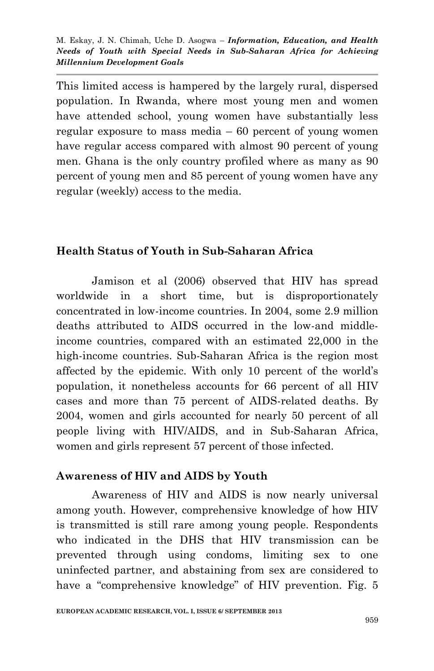This limited access is hampered by the largely rural, dispersed population. In Rwanda, where most young men and women have attended school, young women have substantially less regular exposure to mass media – 60 percent of young women have regular access compared with almost 90 percent of young men. Ghana is the only country profiled where as many as 90 percent of young men and 85 percent of young women have any regular (weekly) access to the media.

## **Health Status of Youth in Sub-Saharan Africa**

Jamison et al (2006) observed that HIV has spread worldwide in a short time, but is disproportionately concentrated in low-income countries. In 2004, some 2.9 million deaths attributed to AIDS occurred in the low-and middleincome countries, compared with an estimated 22,000 in the high-income countries. Sub-Saharan Africa is the region most affected by the epidemic. With only 10 percent of the world's population, it nonetheless accounts for 66 percent of all HIV cases and more than 75 percent of AIDS-related deaths. By 2004, women and girls accounted for nearly 50 percent of all people living with HIV/AIDS, and in Sub-Saharan Africa, women and girls represent 57 percent of those infected.

## **Awareness of HIV and AIDS by Youth**

Awareness of HIV and AIDS is now nearly universal among youth. However, comprehensive knowledge of how HIV is transmitted is still rare among young people. Respondents who indicated in the DHS that HIV transmission can be prevented through using condoms, limiting sex to one uninfected partner, and abstaining from sex are considered to have a "comprehensive knowledge" of HIV prevention. Fig. 5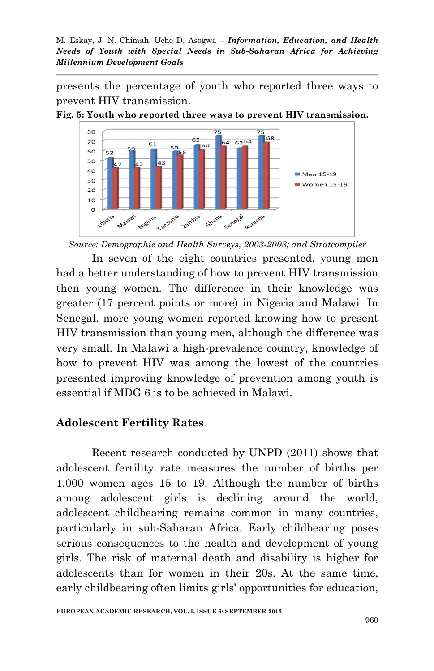presents the percentage of youth who reported three ways to prevent HIV transmission.

**Fig. 5: Youth who reported three ways to prevent HIV transmission.**



*Source: Demographic and Health Surveys, 2003-2008; and Stratcompiler*

In seven of the eight countries presented, young men had a better understanding of how to prevent HIV transmission then young women. The difference in their knowledge was greater (17 percent points or more) in Nigeria and Malawi. In Senegal, more young women reported knowing how to present HIV transmission than young men, although the difference was very small. In Malawi a high-prevalence country, knowledge of how to prevent HIV was among the lowest of the countries presented improving knowledge of prevention among youth is essential if MDG 6 is to be achieved in Malawi.

## **Adolescent Fertility Rates**

Recent research conducted by UNPD (2011) shows that adolescent fertility rate measures the number of births per 1,000 women ages 15 to 19. Although the number of births among adolescent girls is declining around the world, adolescent childbearing remains common in many countries, particularly in sub-Saharan Africa. Early childbearing poses serious consequences to the health and development of young girls. The risk of maternal death and disability is higher for adolescents than for women in their 20s. At the same time, early childbearing often limits girls' opportunities for education,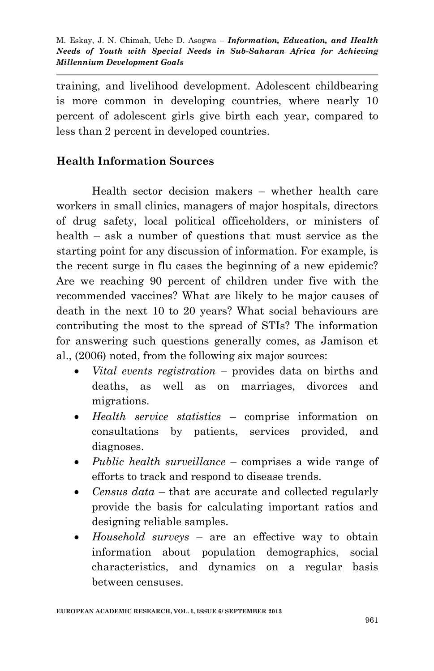training, and livelihood development. Adolescent childbearing is more common in developing countries, where nearly 10 percent of adolescent girls give birth each year, compared to less than 2 percent in developed countries.

# **Health Information Sources**

Health sector decision makers – whether health care workers in small clinics, managers of major hospitals, directors of drug safety, local political officeholders, or ministers of health – ask a number of questions that must service as the starting point for any discussion of information. For example, is the recent surge in flu cases the beginning of a new epidemic? Are we reaching 90 percent of children under five with the recommended vaccines? What are likely to be major causes of death in the next 10 to 20 years? What social behaviours are contributing the most to the spread of STIs? The information for answering such questions generally comes, as Jamison et al., (2006) noted, from the following six major sources:

- *Vital events registration* provides data on births and deaths, as well as on marriages, divorces and migrations.
- *Health service statistics* comprise information on consultations by patients, services provided, and diagnoses.
- *Public health surveillance* comprises a wide range of efforts to track and respond to disease trends.
- *Census data* that are accurate and collected regularly provide the basis for calculating important ratios and designing reliable samples.
- *Household surveys* are an effective way to obtain information about population demographics, social characteristics, and dynamics on a regular basis between censuses.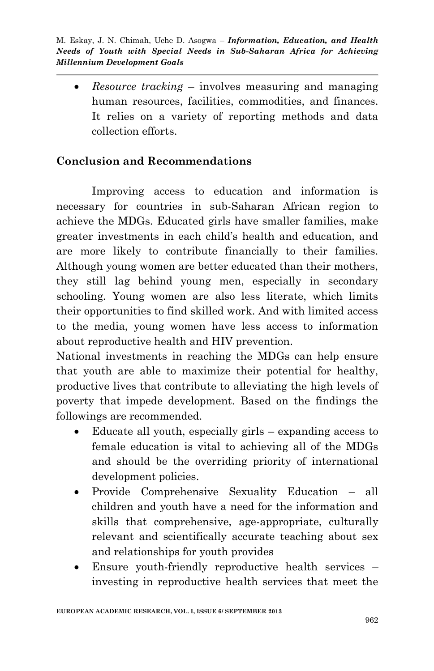*Resource tracking* – involves measuring and managing human resources, facilities, commodities, and finances. It relies on a variety of reporting methods and data collection efforts.

# **Conclusion and Recommendations**

Improving access to education and information is necessary for countries in sub-Saharan African region to achieve the MDGs. Educated girls have smaller families, make greater investments in each child's health and education, and are more likely to contribute financially to their families. Although young women are better educated than their mothers, they still lag behind young men, especially in secondary schooling. Young women are also less literate, which limits their opportunities to find skilled work. And with limited access to the media, young women have less access to information about reproductive health and HIV prevention.

National investments in reaching the MDGs can help ensure that youth are able to maximize their potential for healthy, productive lives that contribute to alleviating the high levels of poverty that impede development. Based on the findings the followings are recommended.

- Educate all youth, especially girls expanding access to female education is vital to achieving all of the MDGs and should be the overriding priority of international development policies.
- Provide Comprehensive Sexuality Education all children and youth have a need for the information and skills that comprehensive, age-appropriate, culturally relevant and scientifically accurate teaching about sex and relationships for youth provides
- Ensure youth-friendly reproductive health services investing in reproductive health services that meet the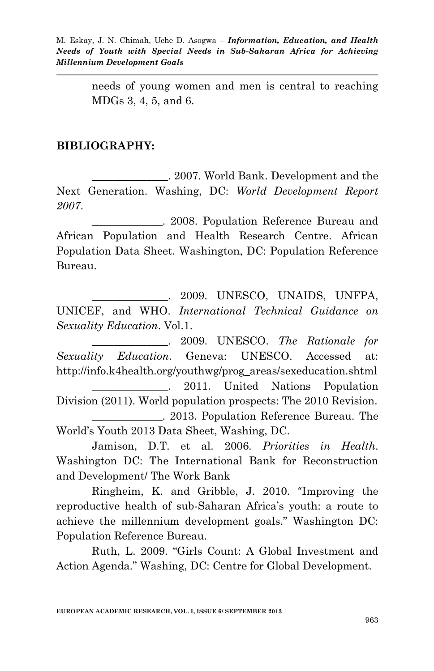needs of young women and men is central to reaching MDGs 3, 4, 5, and 6.

### **BIBLIOGRAPHY:**

\_\_\_\_\_\_\_\_\_\_\_\_\_\_. 2007. World Bank. Development and the Next Generation. Washing, DC: *World Development Report 2007*.

\_\_\_\_\_\_\_\_\_\_\_\_\_. 2008. Population Reference Bureau and African Population and Health Research Centre. African Population Data Sheet. Washington, DC: Population Reference Bureau.

\_\_\_\_\_\_\_\_\_\_\_\_\_\_. 2009. UNESCO, UNAIDS, UNFPA, UNICEF, and WHO. *International Technical Guidance on Sexuality Education*. Vol.1.

\_\_\_\_\_\_\_\_\_\_\_\_\_\_. 2009. UNESCO. *The Rationale for Sexuality Education*. Geneva: UNESCO. Accessed at: http://info.k4health.org/youthwg/prog\_areas/sexeducation.shtml \_\_\_\_\_\_\_\_\_\_\_\_\_\_. 2011. United Nations Population Division (2011). World population prospects: The 2010 Revision. \_\_\_\_\_\_\_\_\_\_\_\_\_. 2013. Population Reference Bureau. The World's Youth 2013 Data Sheet, Washing, DC.

Jamison, D.T. et al. 2006. *Priorities in Health*. Washington DC: The International Bank for Reconstruction and Development/ The Work Bank

Ringheim, K. and Gribble, J. 2010. "Improving the reproductive health of sub-Saharan Africa's youth: a route to achieve the millennium development goals." Washington DC: Population Reference Bureau.

Ruth, L. 2009. "Girls Count: A Global Investment and Action Agenda." Washing, DC: Centre for Global Development.